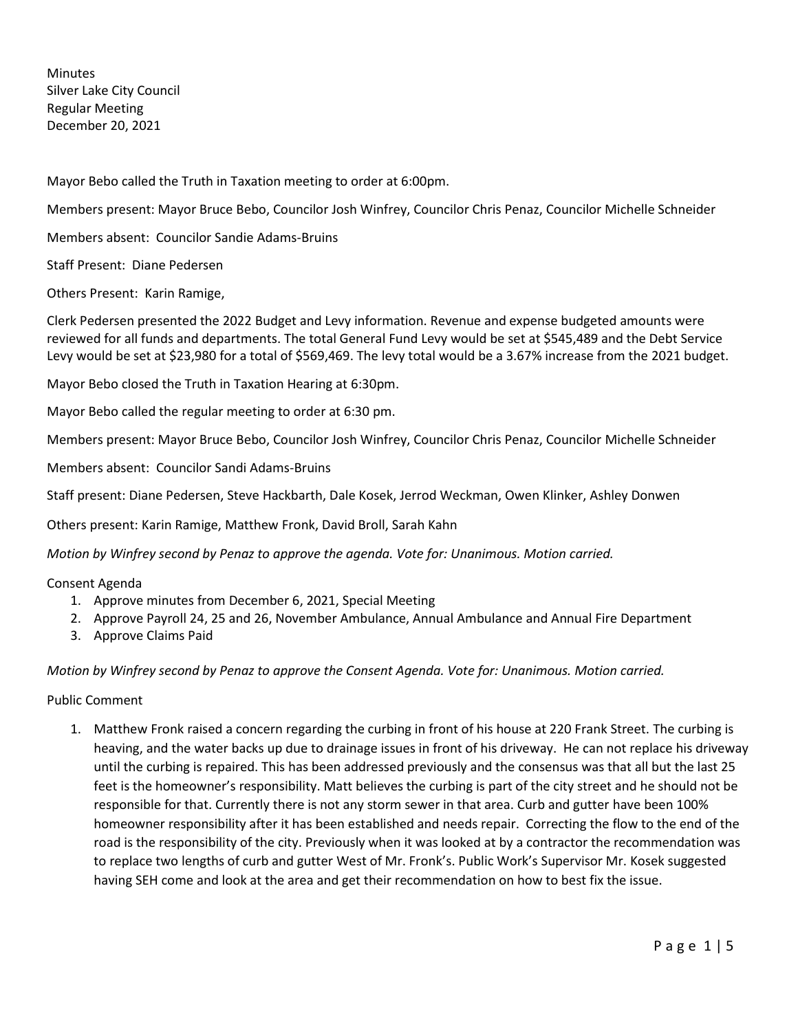**Minutes** Silver Lake City Council Regular Meeting December 20, 2021

Mayor Bebo called the Truth in Taxation meeting to order at 6:00pm.

Members present: Mayor Bruce Bebo, Councilor Josh Winfrey, Councilor Chris Penaz, Councilor Michelle Schneider

Members absent: Councilor Sandie Adams-Bruins

Staff Present: Diane Pedersen

Others Present: Karin Ramige,

Clerk Pedersen presented the 2022 Budget and Levy information. Revenue and expense budgeted amounts were reviewed for all funds and departments. The total General Fund Levy would be set at \$545,489 and the Debt Service Levy would be set at \$23,980 for a total of \$569,469. The levy total would be a 3.67% increase from the 2021 budget.

Mayor Bebo closed the Truth in Taxation Hearing at 6:30pm.

Mayor Bebo called the regular meeting to order at 6:30 pm.

Members present: Mayor Bruce Bebo, Councilor Josh Winfrey, Councilor Chris Penaz, Councilor Michelle Schneider

Members absent: Councilor Sandi Adams-Bruins

Staff present: Diane Pedersen, Steve Hackbarth, Dale Kosek, Jerrod Weckman, Owen Klinker, Ashley Donwen

Others present: Karin Ramige, Matthew Fronk, David Broll, Sarah Kahn

*Motion by Winfrey second by Penaz to approve the agenda. Vote for: Unanimous. Motion carried.*

#### Consent Agenda

- 1. Approve minutes from December 6, 2021, Special Meeting
- 2. Approve Payroll 24, 25 and 26, November Ambulance, Annual Ambulance and Annual Fire Department
- 3. Approve Claims Paid

*Motion by Winfrey second by Penaz to approve the Consent Agenda. Vote for: Unanimous. Motion carried.*

Public Comment

1. Matthew Fronk raised a concern regarding the curbing in front of his house at 220 Frank Street. The curbing is heaving, and the water backs up due to drainage issues in front of his driveway. He can not replace his driveway until the curbing is repaired. This has been addressed previously and the consensus was that all but the last 25 feet is the homeowner's responsibility. Matt believes the curbing is part of the city street and he should not be responsible for that. Currently there is not any storm sewer in that area. Curb and gutter have been 100% homeowner responsibility after it has been established and needs repair. Correcting the flow to the end of the road is the responsibility of the city. Previously when it was looked at by a contractor the recommendation was to replace two lengths of curb and gutter West of Mr. Fronk's. Public Work's Supervisor Mr. Kosek suggested having SEH come and look at the area and get their recommendation on how to best fix the issue.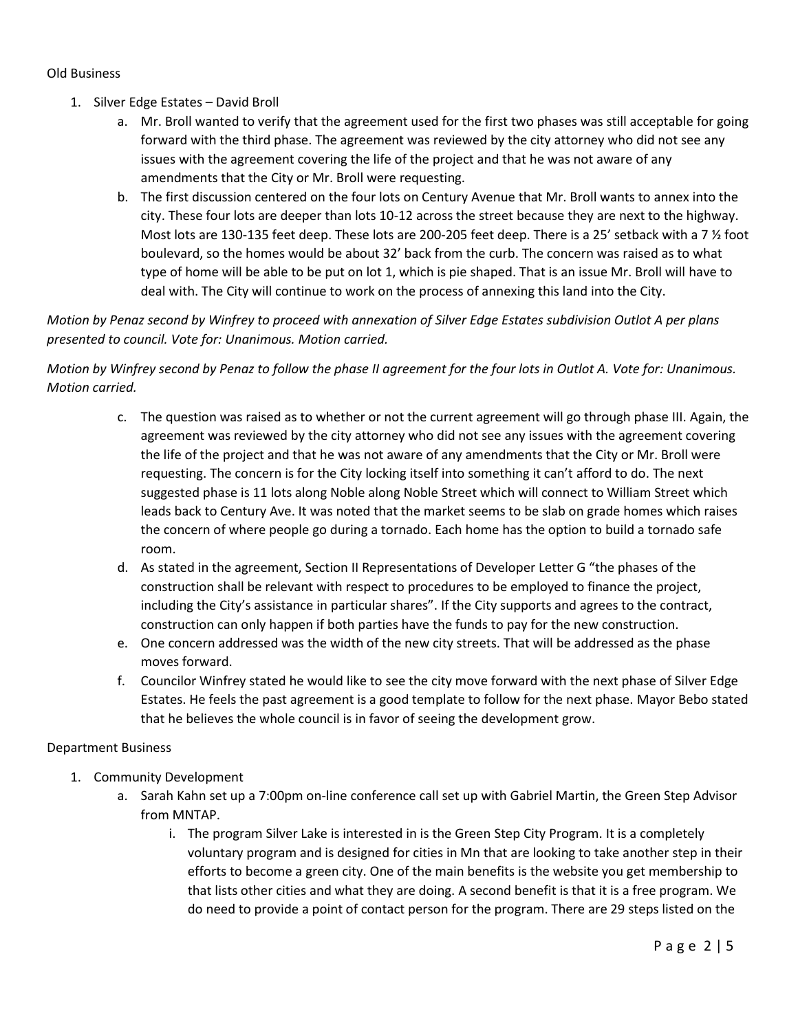### Old Business

- 1. Silver Edge Estates David Broll
	- a. Mr. Broll wanted to verify that the agreement used for the first two phases was still acceptable for going forward with the third phase. The agreement was reviewed by the city attorney who did not see any issues with the agreement covering the life of the project and that he was not aware of any amendments that the City or Mr. Broll were requesting.
	- b. The first discussion centered on the four lots on Century Avenue that Mr. Broll wants to annex into the city. These four lots are deeper than lots 10-12 across the street because they are next to the highway. Most lots are 130-135 feet deep. These lots are 200-205 feet deep. There is a 25' setback with a 7 % foot boulevard, so the homes would be about 32' back from the curb. The concern was raised as to what type of home will be able to be put on lot 1, which is pie shaped. That is an issue Mr. Broll will have to deal with. The City will continue to work on the process of annexing this land into the City.

# *Motion by Penaz second by Winfrey to proceed with annexation of Silver Edge Estates subdivision Outlot A per plans presented to council. Vote for: Unanimous. Motion carried.*

*Motion by Winfrey second by Penaz to follow the phase II agreement for the four lots in Outlot A. Vote for: Unanimous. Motion carried.*

- c. The question was raised as to whether or not the current agreement will go through phase III. Again, the agreement was reviewed by the city attorney who did not see any issues with the agreement covering the life of the project and that he was not aware of any amendments that the City or Mr. Broll were requesting. The concern is for the City locking itself into something it can't afford to do. The next suggested phase is 11 lots along Noble along Noble Street which will connect to William Street which leads back to Century Ave. It was noted that the market seems to be slab on grade homes which raises the concern of where people go during a tornado. Each home has the option to build a tornado safe room.
- d. As stated in the agreement, Section II Representations of Developer Letter G "the phases of the construction shall be relevant with respect to procedures to be employed to finance the project, including the City's assistance in particular shares". If the City supports and agrees to the contract, construction can only happen if both parties have the funds to pay for the new construction.
- e. One concern addressed was the width of the new city streets. That will be addressed as the phase moves forward.
- f. Councilor Winfrey stated he would like to see the city move forward with the next phase of Silver Edge Estates. He feels the past agreement is a good template to follow for the next phase. Mayor Bebo stated that he believes the whole council is in favor of seeing the development grow.

## Department Business

- 1. Community Development
	- a. Sarah Kahn set up a 7:00pm on-line conference call set up with Gabriel Martin, the Green Step Advisor from MNTAP.
		- i. The program Silver Lake is interested in is the Green Step City Program. It is a completely voluntary program and is designed for cities in Mn that are looking to take another step in their efforts to become a green city. One of the main benefits is the website you get membership to that lists other cities and what they are doing. A second benefit is that it is a free program. We do need to provide a point of contact person for the program. There are 29 steps listed on the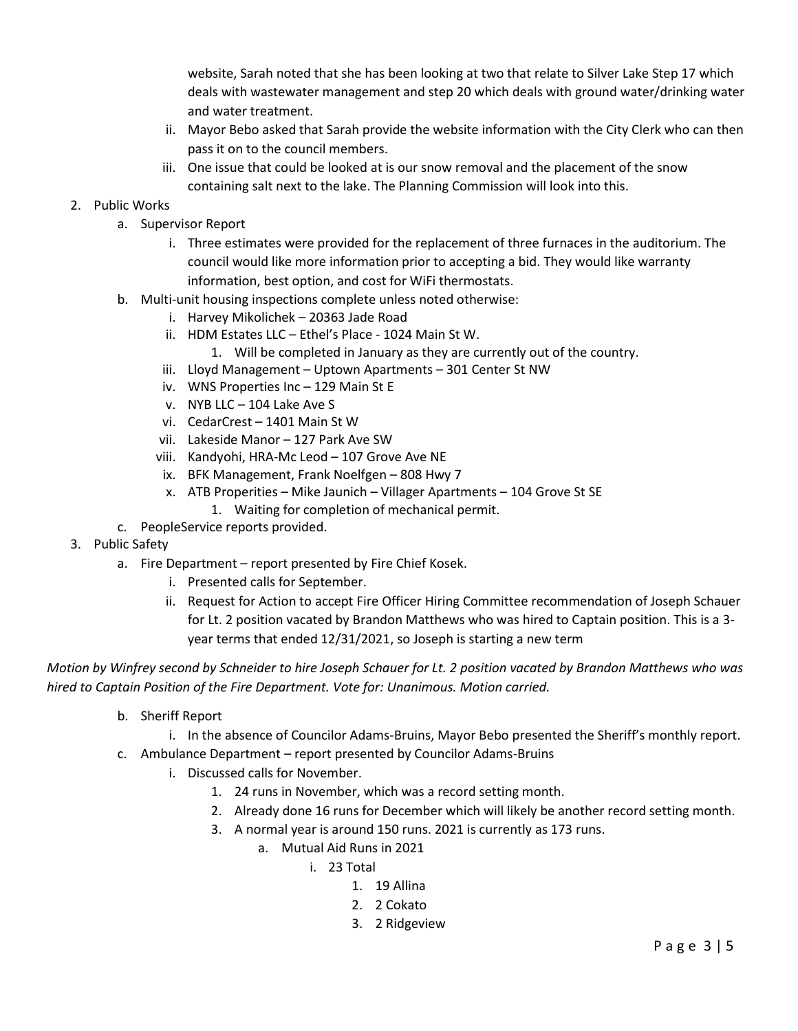website, Sarah noted that she has been looking at two that relate to Silver Lake Step 17 which deals with wastewater management and step 20 which deals with ground water/drinking water and water treatment.

- ii. Mayor Bebo asked that Sarah provide the website information with the City Clerk who can then pass it on to the council members.
- iii. One issue that could be looked at is our snow removal and the placement of the snow containing salt next to the lake. The Planning Commission will look into this.

# 2. Public Works

- a. Supervisor Report
	- i. Three estimates were provided for the replacement of three furnaces in the auditorium. The council would like more information prior to accepting a bid. They would like warranty information, best option, and cost for WiFi thermostats.
- b. Multi-unit housing inspections complete unless noted otherwise:
	- i. Harvey Mikolichek 20363 Jade Road
	- ii. HDM Estates LLC Ethel's Place 1024 Main St W.
		- 1. Will be completed in January as they are currently out of the country.
	- iii. Lloyd Management Uptown Apartments 301 Center St NW
	- iv. WNS Properties Inc 129 Main St E
	- v. NYB LLC 104 Lake Ave S
	- vi. CedarCrest 1401 Main St W
	- vii. Lakeside Manor 127 Park Ave SW
	- viii. Kandyohi, HRA-Mc Leod 107 Grove Ave NE
	- ix. BFK Management, Frank Noelfgen 808 Hwy 7
	- x. ATB Properities Mike Jaunich Villager Apartments 104 Grove St SE
		- 1. Waiting for completion of mechanical permit.
- c. PeopleService reports provided.
- 3. Public Safety
	- a. Fire Department report presented by Fire Chief Kosek.
		- i. Presented calls for September.
		- ii. Request for Action to accept Fire Officer Hiring Committee recommendation of Joseph Schauer for Lt. 2 position vacated by Brandon Matthews who was hired to Captain position. This is a 3 year terms that ended 12/31/2021, so Joseph is starting a new term

*Motion by Winfrey second by Schneider to hire Joseph Schauer for Lt. 2 position vacated by Brandon Matthews who was hired to Captain Position of the Fire Department. Vote for: Unanimous. Motion carried.*

- b. Sheriff Report
	- i. In the absence of Councilor Adams-Bruins, Mayor Bebo presented the Sheriff's monthly report.
- c. Ambulance Department report presented by Councilor Adams-Bruins
	- i. Discussed calls for November.
		- 1. 24 runs in November, which was a record setting month.
		- 2. Already done 16 runs for December which will likely be another record setting month.
		- 3. A normal year is around 150 runs. 2021 is currently as 173 runs.
			- a. Mutual Aid Runs in 2021
				- i. 23 Total
					- 1. 19 Allina
					- 2. 2 Cokato
					- 3. 2 Ridgeview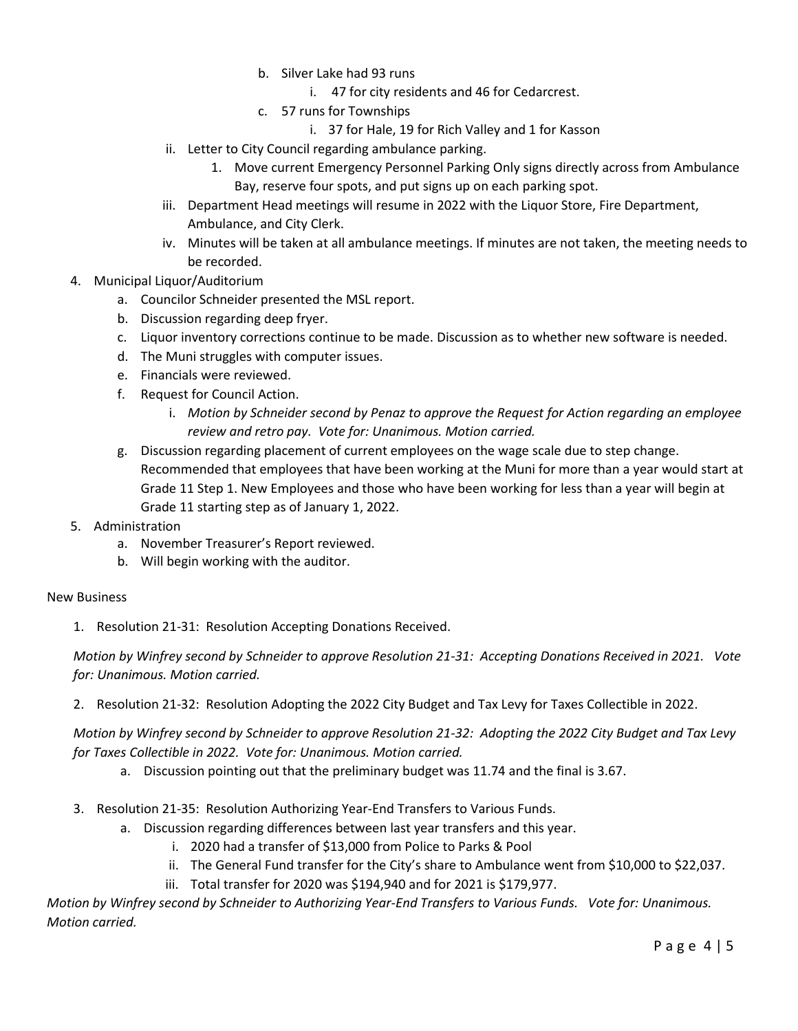- b. Silver Lake had 93 runs
	- i. 47 for city residents and 46 for Cedarcrest.
- c. 57 runs for Townships
	- i. 37 for Hale, 19 for Rich Valley and 1 for Kasson
- ii. Letter to City Council regarding ambulance parking.
	- 1. Move current Emergency Personnel Parking Only signs directly across from Ambulance Bay, reserve four spots, and put signs up on each parking spot.
- iii. Department Head meetings will resume in 2022 with the Liquor Store, Fire Department, Ambulance, and City Clerk.
- iv. Minutes will be taken at all ambulance meetings. If minutes are not taken, the meeting needs to be recorded.
- 4. Municipal Liquor/Auditorium
	- a. Councilor Schneider presented the MSL report.
	- b. Discussion regarding deep fryer.
	- c. Liquor inventory corrections continue to be made. Discussion as to whether new software is needed.
	- d. The Muni struggles with computer issues.
	- e. Financials were reviewed.
	- f. Request for Council Action.
		- i. *Motion by Schneider second by Penaz to approve the Request for Action regarding an employee review and retro pay. Vote for: Unanimous. Motion carried.*
	- g. Discussion regarding placement of current employees on the wage scale due to step change. Recommended that employees that have been working at the Muni for more than a year would start at Grade 11 Step 1. New Employees and those who have been working for less than a year will begin at Grade 11 starting step as of January 1, 2022.
- 5. Administration
	- a. November Treasurer's Report reviewed.
	- b. Will begin working with the auditor.

## New Business

1. Resolution 21-31: Resolution Accepting Donations Received.

*Motion by Winfrey second by Schneider to approve Resolution 21-31: Accepting Donations Received in 2021. Vote for: Unanimous. Motion carried.*

2. Resolution 21-32: Resolution Adopting the 2022 City Budget and Tax Levy for Taxes Collectible in 2022.

*Motion by Winfrey second by Schneider to approve Resolution 21-32: Adopting the 2022 City Budget and Tax Levy for Taxes Collectible in 2022. Vote for: Unanimous. Motion carried.*

- a. Discussion pointing out that the preliminary budget was 11.74 and the final is 3.67.
- 3. Resolution 21-35: Resolution Authorizing Year-End Transfers to Various Funds.
	- a. Discussion regarding differences between last year transfers and this year.
		- i. 2020 had a transfer of \$13,000 from Police to Parks & Pool
		- ii. The General Fund transfer for the City's share to Ambulance went from \$10,000 to \$22,037.
		- iii. Total transfer for 2020 was \$194,940 and for 2021 is \$179,977.

*Motion by Winfrey second by Schneider to Authorizing Year-End Transfers to Various Funds. Vote for: Unanimous. Motion carried.*